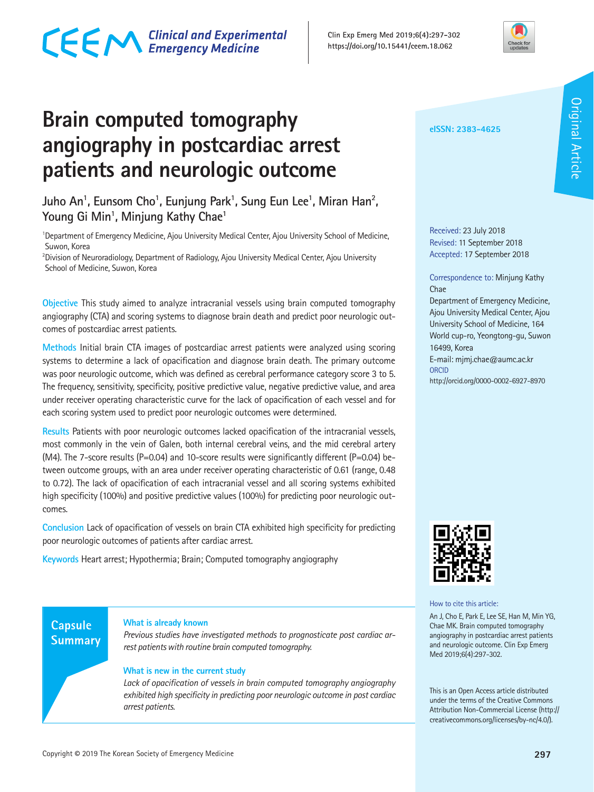### CECM Clinical and Experimental



### **Brain computed tomography angiography in postcardiac arrest patients and neurologic outcome**

Juho An<sup>1</sup>, Eunsom Cho<sup>1</sup>, Eunjung Park<sup>1</sup>, Sung Eun Lee<sup>1</sup>, Miran Han<sup>2</sup>, **Young Gi Min1 , Minjung Kathy Chae1**

<sup>1</sup>Department of Emergency Medicine, Ajou University Medical Center, Ajou University School of Medicine, Suwon, Korea

2 Division of Neuroradiology, Department of Radiology, Ajou University Medical Center, Ajou University School of Medicine, Suwon, Korea

**Objective** This study aimed to analyze intracranial vessels using brain computed tomography angiography (CTA) and scoring systems to diagnose brain death and predict poor neurologic outcomes of postcardiac arrest patients.

**Methods** Initial brain CTA images of postcardiac arrest patients were analyzed using scoring systems to determine a lack of opacification and diagnose brain death. The primary outcome was poor neurologic outcome, which was defined as cerebral performance category score 3 to 5. The frequency, sensitivity, specificity, positive predictive value, negative predictive value, and area under receiver operating characteristic curve for the lack of opacification of each vessel and for each scoring system used to predict poor neurologic outcomes were determined.

**Results** Patients with poor neurologic outcomes lacked opacification of the intracranial vessels, most commonly in the vein of Galen, both internal cerebral veins, and the mid cerebral artery (M4). The 7-score results (P=0.04) and 10-score results were significantly different (P=0.04) between outcome groups, with an area under receiver operating characteristic of 0.61 (range, 0.48 to 0.72). The lack of opacification of each intracranial vessel and all scoring systems exhibited high specificity (100%) and positive predictive values (100%) for predicting poor neurologic outcomes.

**Conclusion** Lack of opacification of vessels on brain CTA exhibited high specificity for predicting poor neurologic outcomes of patients after cardiac arrest.

**Keywords** Heart arrest; Hypothermia; Brain; Computed tomography angiography

#### **eISSN: 2383-4625**

Received: 23 July 2018 Revised: 11 September 2018 Accepted: 17 September 2018

### Correspondence to: Minjung Kathy Chae

Department of Emergency Medicine, Ajou University Medical Center, Ajou University School of Medicine, 164 World cup-ro, Yeongtong-gu, Suwon 16499, Korea E-mail: mjmj.chae@aumc.ac.kr **ORCID** 

http://orcid.org/0000-0002-6927-8970



How to cite this article:

An J, Cho E, Park E, Lee SE, Han M, Min YG, Chae MK. Brain computed tomography angiography in postcardiac arrest patients and neurologic outcome. Clin Exp Emerg Med 2019;6(4):297-302.

This is an Open Access article distributed under the terms of the Creative Commons Attribution Non-Commercial License (http:// creativecommons.org/licenses/by-nc/4.0/).

### **Capsule Summary**

### **What is already known**

*Previous studies have investigated methods to prognosticate post cardiac arrest patients with routine brain computed tomography.*

### **What is new in the current study**

*Lack of opacification of vessels in brain computed tomography angiography exhibited high specificity in predicting poor neurologic outcome in post cardiac arrest patients.*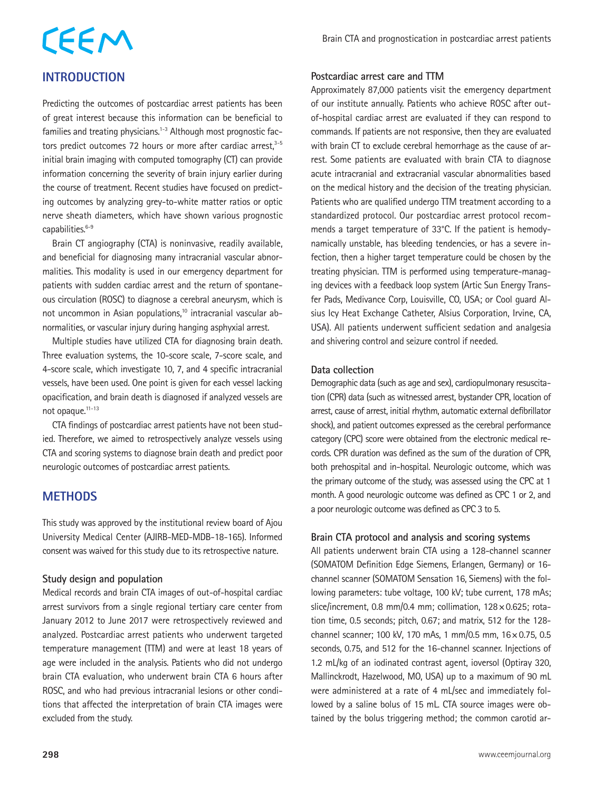# CEEM

### **INTRODUCTION**

Predicting the outcomes of postcardiac arrest patients has been of great interest because this information can be beneficial to families and treating physicians.<sup>1-3</sup> Although most prognostic factors predict outcomes 72 hours or more after cardiac arrest, $3-5$ initial brain imaging with computed tomography (CT) can provide information concerning the severity of brain injury earlier during the course of treatment. Recent studies have focused on predicting outcomes by analyzing grey-to-white matter ratios or optic nerve sheath diameters, which have shown various prognostic capabilities.<sup>6-9</sup>

Brain CT angiography (CTA) is noninvasive, readily available, and beneficial for diagnosing many intracranial vascular abnormalities. This modality is used in our emergency department for patients with sudden cardiac arrest and the return of spontaneous circulation (ROSC) to diagnose a cerebral aneurysm, which is not uncommon in Asian populations,<sup>10</sup> intracranial vascular abnormalities, or vascular injury during hanging asphyxial arrest.

Multiple studies have utilized CTA for diagnosing brain death. Three evaluation systems, the 10-score scale, 7-score scale, and 4-score scale, which investigate 10, 7, and 4 specific intracranial vessels, have been used. One point is given for each vessel lacking opacification, and brain death is diagnosed if analyzed vessels are not opaque.11-13

CTA findings of postcardiac arrest patients have not been studied. Therefore, we aimed to retrospectively analyze vessels using CTA and scoring systems to diagnose brain death and predict poor neurologic outcomes of postcardiac arrest patients.

### **METHODS**

This study was approved by the institutional review board of Ajou University Medical Center (AJIRB-MED-MDB-18-165). Informed consent was waived for this study due to its retrospective nature.

### **Study design and population**

Medical records and brain CTA images of out-of-hospital cardiac arrest survivors from a single regional tertiary care center from January 2012 to June 2017 were retrospectively reviewed and analyzed. Postcardiac arrest patients who underwent targeted temperature management (TTM) and were at least 18 years of age were included in the analysis. Patients who did not undergo brain CTA evaluation, who underwent brain CTA 6 hours after ROSC, and who had previous intracranial lesions or other conditions that affected the interpretation of brain CTA images were excluded from the study.

### **Postcardiac arrest care and TTM**

Approximately 87,000 patients visit the emergency department of our institute annually. Patients who achieve ROSC after outof-hospital cardiac arrest are evaluated if they can respond to commands. If patients are not responsive, then they are evaluated with brain CT to exclude cerebral hemorrhage as the cause of arrest. Some patients are evaluated with brain CTA to diagnose acute intracranial and extracranial vascular abnormalities based on the medical history and the decision of the treating physician. Patients who are qualified undergo TTM treatment according to a standardized protocol. Our postcardiac arrest protocol recommends a target temperature of 33°C. If the patient is hemodynamically unstable, has bleeding tendencies, or has a severe infection, then a higher target temperature could be chosen by the treating physician. TTM is performed using temperature-managing devices with a feedback loop system (Artic Sun Energy Transfer Pads, Medivance Corp, Louisville, CO, USA; or Cool guard Alsius Icy Heat Exchange Catheter, Alsius Corporation, Irvine, CA, USA). All patients underwent sufficient sedation and analgesia and shivering control and seizure control if needed.

### **Data collection**

Demographic data (such as age and sex), cardiopulmonary resuscitation (CPR) data (such as witnessed arrest, bystander CPR, location of arrest, cause of arrest, initial rhythm, automatic external defibrillator shock), and patient outcomes expressed as the cerebral performance category (CPC) score were obtained from the electronic medical records. CPR duration was defined as the sum of the duration of CPR, both prehospital and in-hospital. Neurologic outcome, which was the primary outcome of the study, was assessed using the CPC at 1 month. A good neurologic outcome was defined as CPC 1 or 2, and a poor neurologic outcome was defined as CPC 3 to 5.

### **Brain CTA protocol and analysis and scoring systems**

All patients underwent brain CTA using a 128-channel scanner (SOMATOM Definition Edge Siemens, Erlangen, Germany) or 16 channel scanner (SOMATOM Sensation 16, Siemens) with the following parameters: tube voltage, 100 kV; tube current, 178 mAs; slice/increment, 0.8 mm/0.4 mm; collimation,  $128 \times 0.625$ ; rotation time, 0.5 seconds; pitch, 0.67; and matrix, 512 for the 128 channel scanner; 100 kV, 170 mAs, 1 mm/0.5 mm, 16×0.75, 0.5 seconds, 0.75, and 512 for the 16-channel scanner. Injections of 1.2 mL/kg of an iodinated contrast agent, ioversol (Optiray 320, Mallinckrodt, Hazelwood, MO, USA) up to a maximum of 90 mL were administered at a rate of 4 mL/sec and immediately followed by a saline bolus of 15 mL. CTA source images were obtained by the bolus triggering method; the common carotid ar-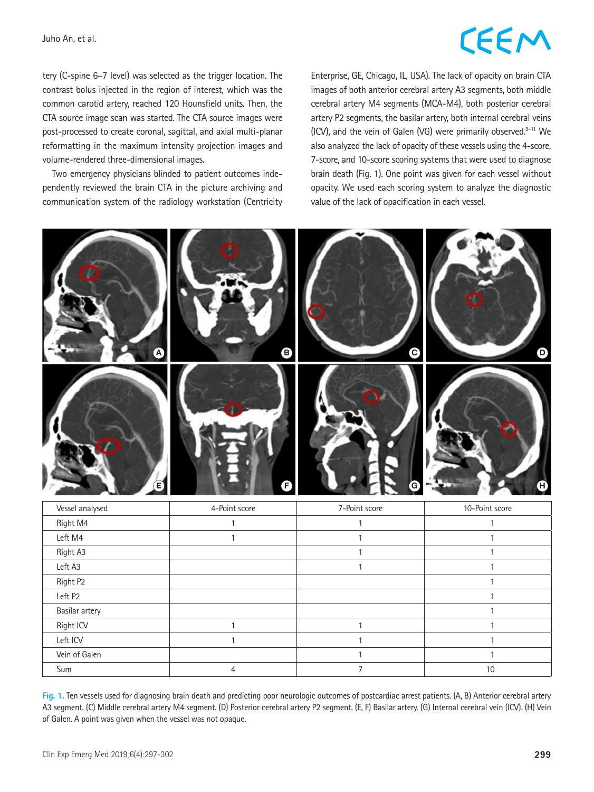### **LEEM**

tery (C-spine 6–7 level) was selected as the trigger location. The contrast bolus injected in the region of interest, which was the common carotid artery, reached 120 Hounsfield units. Then, the CTA source image scan was started. The CTA source images were post-processed to create coronal, sagittal, and axial multi-planar reformatting in the maximum intensity projection images and volume-rendered three-dimensional images.

Two emergency physicians blinded to patient outcomes independently reviewed the brain CTA in the picture archiving and communication system of the radiology workstation (Centricity Enterprise, GE, Chicago, IL, USA). The lack of opacity on brain CTA images of both anterior cerebral artery A3 segments, both middle cerebral artery M4 segments (MCA-M4), both posterior cerebral artery P2 segments, the basilar artery, both internal cerebral veins (ICV), and the vein of Galen (VG) were primarily observed. $8-11$  We also analyzed the lack of opacity of these vessels using the 4-score, 7-score, and 10-score scoring systems that were used to diagnose brain death (Fig. 1). One point was given for each vessel without opacity. We used each scoring system to analyze the diagnostic value of the lack of opacification in each vessel.



| Vessel analysed | 4-Point score | 7-Point score | 10-Point score |  |
|-----------------|---------------|---------------|----------------|--|
| Right M4        |               |               |                |  |
| Left M4         |               |               |                |  |
| Right A3        |               |               |                |  |
| Left A3         |               |               |                |  |
| Right P2        |               |               |                |  |
| Left P2         |               |               |                |  |
| Basilar artery  |               |               |                |  |
| Right ICV       |               |               |                |  |
| Left ICV        |               |               |                |  |
| Vein of Galen   |               |               |                |  |
| Sum             |               |               | 10             |  |

**Fig. 1.** Ten vessels used for diagnosing brain death and predicting poor neurologic outcomes of postcardiac arrest patients. (A, B) Anterior cerebral artery A3 segment. (C) Middle cerebral artery M4 segment. (D) Posterior cerebral artery P2 segment. (E, F) Basilar artery. (G) Internal cerebral vein (ICV). (H) Vein of Galen. A point was given when the vessel was not opaque.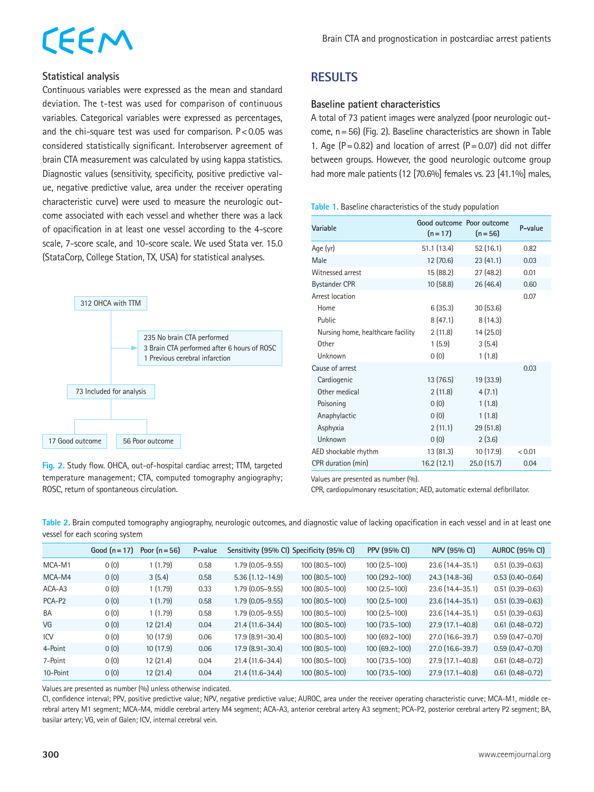## EEM

### **Statistical analysis**

Continuous variables were expressed as the mean and standard deviation. The t-test was used for comparison of continuous variables. Categorical variables were expressed as percentages, and the chi-square test was used for comparison.  $P < 0.05$  was considered statistically significant. Interobserver agreement of brain CTA measurement was calculated by using kappa statistics. Diagnostic values (sensitivity, specificity, positive predictive value, negative predictive value, area under the receiver operating characteristic curve) were used to measure the neurologic outcome associated with each vessel and whether there was a lack of opacification in at least one vessel according to the 4-score scale, 7-score scale, and 10-score scale. We used Stata ver. 15.0 (StataCorp, College Station, TX, USA) for statistical analyses.



**Fig. 2.** Study flow. OHCA, out-of-hospital cardiac arrest; TTM, targeted temperature management; CTA, computed tomography angiography; ROSC, return of spontaneous circulation.

### **RESULTS**

#### **Baseline patient characteristics**

A total of 73 patient images were analyzed (poor neurologic outcome, n=56) (Fig. 2). Baseline characteristics are shown in Table 1. Age ( $P = 0.82$ ) and location of arrest ( $P = 0.07$ ) did not differ between groups. However, the good neurologic outcome group had more male patients (12 [70.6%] females vs. 23 [41.1%] males,

#### **Table 1.** Baseline characteristics of the study population

| Variable                          | Good outcome Poor outcome<br>$(n=17)$ | $(n = 56)$ | P-value |
|-----------------------------------|---------------------------------------|------------|---------|
| Age (yr)                          | 51.1 (13.4)                           | 52 (16.1)  | 0.82    |
| Male                              | 12 (70.6)                             | 23(41.1)   | 0.03    |
| Witnessed arrest                  | 15 (88.2)                             | 27(48.2)   | 0.01    |
| <b>Bystander CPR</b>              | 10(58.8)                              | 26 (46.4)  | 0.60    |
| Arrest location                   |                                       |            | 0.07    |
| Home                              | 6(35.3)                               | 30(53.6)   |         |
| Public                            | 8(47.1)                               | 8(14.3)    |         |
| Nursing home, healthcare facility | 2(11.8)                               | 14 (25.0)  |         |
| Other                             | 1(5.9)                                | 3(5.4)     |         |
| Unknown                           | 0(0)                                  | 1(1.8)     |         |
| Cause of arrest                   |                                       |            | 0.03    |
| Cardiogenic                       | 13(76.5)                              | 19 (33.9)  |         |
| Other medical                     | 2(11.8)                               | 4(7.1)     |         |
| Poisoning                         | 0(0)                                  | 1(1.8)     |         |
| Anaphylactic                      | 0(0)                                  | 1(1.8)     |         |
| Asphyxia                          | 2(11.1)                               | 29(51.8)   |         |
| Unknown                           | 0(0)                                  | 2(3.6)     |         |
| AED shockable rhythm              | 13 (81.3)                             | 10 (17.9)  | < 0.01  |
| CPR duration (min)                | 16.2(12.1)                            | 25.0(15.7) | 0.04    |

Values are presented as number (%).

CPR, cardiopulmonary resuscitation; AED, automatic external defibrillator.

**Table 2.** Brain computed tomography angiography, neurologic outcomes, and diagnostic value of lacking opacification in each vessel and in at least one vessel for each scoring system

|           | Good $(n=17)$ | Poor $(n=56)$ | P-value |                     | Sensitivity (95% CI) Specificity (95% CI) | PPV (95% CI)    | NPV (95% CI)        | <b>AUROC (95% CI)</b> |
|-----------|---------------|---------------|---------|---------------------|-------------------------------------------|-----------------|---------------------|-----------------------|
| MCA-M1    | 0(0)          | 1(1.79)       | 0.58    | $1.79(0.05 - 9.55)$ | 100 (80.5-100)                            | $100(2.5-100)$  | 23.6 (14.4-35.1)    | $0.51(0.39 - 0.63)$   |
| MCA-M4    | 0(0)          | 3(5.4)        | 0.58    | $5.36(1.12 - 14.9)$ | $100(80.5-100)$                           | $100(29.2-100)$ | 24.3 (14.8–36)      | $0.53(0.40 - 0.64)$   |
| ACA-A3    | 0(0)          | 1(1.79)       | 0.33    | $1.79(0.05 - 9.55)$ | 100 (80.5-100)                            | $100(2.5-100)$  | $23.6(14.4-35.1)$   | $0.51(0.39 - 0.63)$   |
| PCA-P2    | 0(0)          | 1(1.79)       | 0.58    | $1.79(0.05 - 9.55)$ | $100(80.5-100)$                           | $100(2.5-100)$  | $23.6(14.4-35.1)$   | $0.51(0.39 - 0.63)$   |
| <b>BA</b> | 0(0)          | 1(1.79)       | 0.58    | $1.79(0.05 - 9.55)$ | 100 (80.5-100)                            | $100(2.5-100)$  | $23.6(14.4-35.1)$   | $0.51(0.39 - 0.63)$   |
| VG        | 0(0)          | 12(21.4)      | 0.04    | $21.4(11.6-34.4)$   | $100(80.5-100)$                           | $100(73.5-100)$ | $27.9(17.1-40.8)$   | $0.61(0.48 - 0.72)$   |
| ICV       | 0(0)          | 10(17.9)      | 0.06    | 17.9 (8.91-30.4)    | 100 (80.5-100)                            | 100 (69.2-100)  | 27.0 (16.6-39.7)    | $0.59(0.47 - 0.70)$   |
| 4-Point   | 0(0)          | 10(17.9)      | 0.06    | 17.9 (8.91-30.4)    | $100(80.5-100)$                           | $100(69.2-100)$ | $27.0(16.6-39.7)$   | $0.59(0.47 - 0.70)$   |
| 7-Point   | 0(0)          | 12(21.4)      | 0.04    | $21.4(11.6-34.4)$   | 100 (80.5-100)                            | 100 (73.5-100)  | $27.9(17.1 - 40.8)$ | $0.61(0.48 - 0.72)$   |
| 10-Point  | 0(0)          | 12(21.4)      | 0.04    | $21.4(11.6-34.4)$   | 100 (80.5-100)                            | $100(73.5-100)$ | $27.9(17.1 - 40.8)$ | $0.61(0.48 - 0.72)$   |

Values are presented as number (%) unless otherwise indicated.

CI, confidence interval; PPV, positive predictive value; NPV, negative predictive value; AUROC, area under the receiver operating characteristic curve; MCA-M1, middle cerebral artery M1 segment; MCA-M4, middle cerebral artery M4 segment; ACA-A3, anterior cerebral artery A3 segment; PCA-P2, posterior cerebral artery P2 segment; BA, basilar artery; VG, vein of Galen; ICV, internal cerebral vein.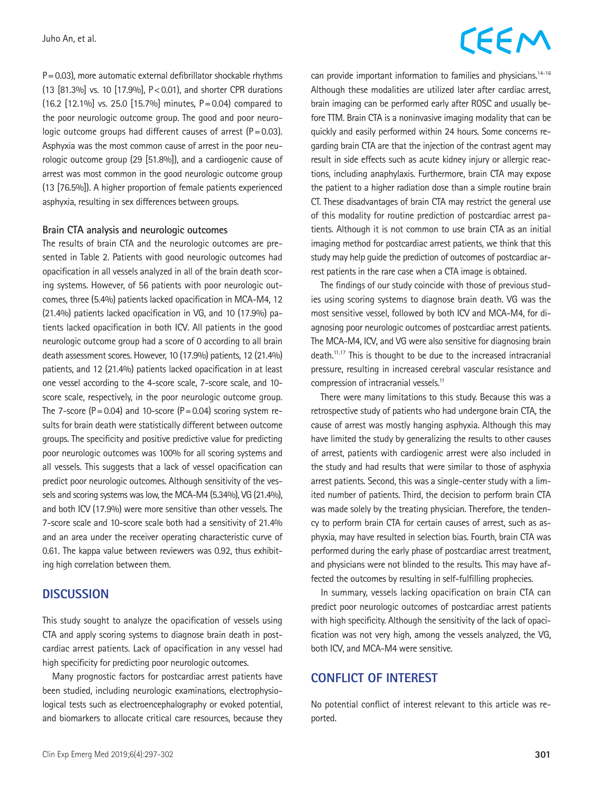$P=0.03$ ), more automatic external defibrillator shockable rhythms (13 [81.3%] vs. 10 [17.9%], P<0.01), and shorter CPR durations (16.2 [12.1%] vs. 25.0 [15.7%] minutes, P=0.04) compared to the poor neurologic outcome group. The good and poor neurologic outcome groups had different causes of arrest  $(P=0.03)$ . Asphyxia was the most common cause of arrest in the poor neurologic outcome group (29 [51.8%]), and a cardiogenic cause of arrest was most common in the good neurologic outcome group (13 [76.5%]). A higher proportion of female patients experienced asphyxia, resulting in sex differences between groups.

#### **Brain CTA analysis and neurologic outcomes**

The results of brain CTA and the neurologic outcomes are presented in Table 2. Patients with good neurologic outcomes had opacification in all vessels analyzed in all of the brain death scoring systems. However, of 56 patients with poor neurologic outcomes, three (5.4%) patients lacked opacification in MCA-M4, 12 (21.4%) patients lacked opacification in VG, and 10 (17.9%) patients lacked opacification in both ICV. All patients in the good neurologic outcome group had a score of 0 according to all brain death assessment scores. However, 10 (17.9%) patients, 12 (21.4%) patients, and 12 (21.4%) patients lacked opacification in at least one vessel according to the 4-score scale, 7-score scale, and 10 score scale, respectively, in the poor neurologic outcome group. The 7-score ( $P = 0.04$ ) and 10-score ( $P = 0.04$ ) scoring system results for brain death were statistically different between outcome groups. The specificity and positive predictive value for predicting poor neurologic outcomes was 100% for all scoring systems and all vessels. This suggests that a lack of vessel opacification can predict poor neurologic outcomes. Although sensitivity of the vessels and scoring systems was low, the MCA-M4 (5.34%), VG (21.4%), and both ICV (17.9%) were more sensitive than other vessels. The 7-score scale and 10-score scale both had a sensitivity of 21.4% and an area under the receiver operating characteristic curve of 0.61. The kappa value between reviewers was 0.92, thus exhibiting high correlation between them.

#### **DISCUSSION**

This study sought to analyze the opacification of vessels using CTA and apply scoring systems to diagnose brain death in postcardiac arrest patients. Lack of opacification in any vessel had high specificity for predicting poor neurologic outcomes.

Many prognostic factors for postcardiac arrest patients have been studied, including neurologic examinations, electrophysiological tests such as electroencephalography or evoked potential, and biomarkers to allocate critical care resources, because they

### **CEEM**

can provide important information to families and physicians.<sup>14-16</sup> Although these modalities are utilized later after cardiac arrest, brain imaging can be performed early after ROSC and usually before TTM. Brain CTA is a noninvasive imaging modality that can be quickly and easily performed within 24 hours. Some concerns regarding brain CTA are that the injection of the contrast agent may result in side effects such as acute kidney injury or allergic reactions, including anaphylaxis. Furthermore, brain CTA may expose the patient to a higher radiation dose than a simple routine brain CT. These disadvantages of brain CTA may restrict the general use of this modality for routine prediction of postcardiac arrest patients. Although it is not common to use brain CTA as an initial imaging method for postcardiac arrest patients, we think that this study may help guide the prediction of outcomes of postcardiac arrest patients in the rare case when a CTA image is obtained.

The findings of our study coincide with those of previous studies using scoring systems to diagnose brain death. VG was the most sensitive vessel, followed by both ICV and MCA-M4, for diagnosing poor neurologic outcomes of postcardiac arrest patients. The MCA-M4, ICV, and VG were also sensitive for diagnosing brain death.11,17 This is thought to be due to the increased intracranial pressure, resulting in increased cerebral vascular resistance and compression of intracranial vessels.<sup>11</sup>

There were many limitations to this study. Because this was a retrospective study of patients who had undergone brain CTA, the cause of arrest was mostly hanging asphyxia. Although this may have limited the study by generalizing the results to other causes of arrest, patients with cardiogenic arrest were also included in the study and had results that were similar to those of asphyxia arrest patients. Second, this was a single-center study with a limited number of patients. Third, the decision to perform brain CTA was made solely by the treating physician. Therefore, the tendency to perform brain CTA for certain causes of arrest, such as asphyxia, may have resulted in selection bias. Fourth, brain CTA was performed during the early phase of postcardiac arrest treatment, and physicians were not blinded to the results. This may have affected the outcomes by resulting in self-fulfilling prophecies.

In summary, vessels lacking opacification on brain CTA can predict poor neurologic outcomes of postcardiac arrest patients with high specificity. Although the sensitivity of the lack of opacification was not very high, among the vessels analyzed, the VG, both ICV, and MCA-M4 were sensitive.

### **CONFLICT OF INTEREST**

No potential conflict of interest relevant to this article was reported.